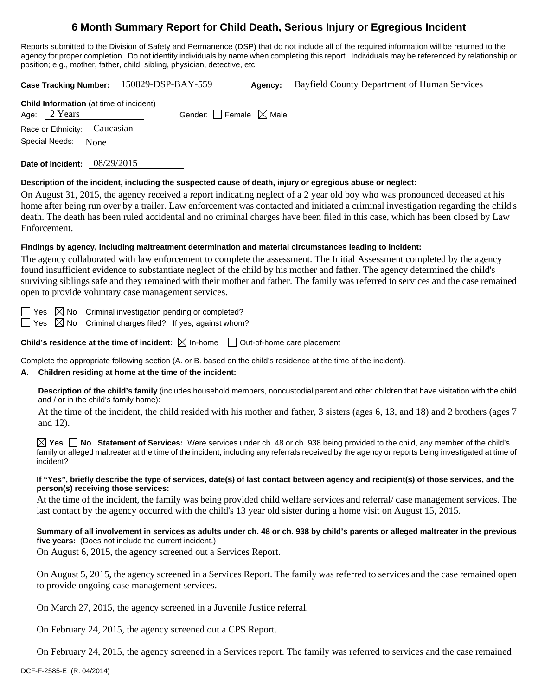# **6 Month Summary Report for Child Death, Serious Injury or Egregious Incident**

Reports submitted to the Division of Safety and Permanence (DSP) that do not include all of the required information will be returned to the agency for proper completion. Do not identify individuals by name when completing this report. Individuals may be referenced by relationship or position; e.g., mother, father, child, sibling, physician, detective, etc.

**Case Tracking Number:** 150829-DSP-BAY-559 **Agency:** Bayfield County Department of Human Services

|                              | <b>Child Information</b> (at time of incident) |                                        |  |
|------------------------------|------------------------------------------------|----------------------------------------|--|
| Age: $2$ Years               |                                                | Gender: $\Box$ Female $\boxtimes$ Male |  |
| Race or Ethnicity: Caucasian |                                                |                                        |  |
| Special Needs: None          |                                                |                                        |  |
|                              |                                                |                                        |  |

**Date of Incident:** 08/29/2015

#### **Description of the incident, including the suspected cause of death, injury or egregious abuse or neglect:**

On August 31, 2015, the agency received a report indicating neglect of a 2 year old boy who was pronounced deceased at his home after being run over by a trailer. Law enforcement was contacted and initiated a criminal investigation regarding the child's death. The death has been ruled accidental and no criminal charges have been filed in this case, which has been closed by Law Enforcement.

#### **Findings by agency, including maltreatment determination and material circumstances leading to incident:**

The agency collaborated with law enforcement to complete the assessment. The Initial Assessment completed by the agency found insufficient evidence to substantiate neglect of the child by his mother and father. The agency determined the child's surviving siblings safe and they remained with their mother and father. The family was referred to services and the case remained open to provide voluntary case management services.

 $\Box$  Yes  $\boxtimes$  No Criminal investigation pending or completed?

 $\Box$  Yes  $\boxtimes$  No Criminal charges filed? If yes, against whom?

**Child's residence at the time of incident:**  $\boxtimes$  In-home  $\Box$  Out-of-home care placement

Complete the appropriate following section (A. or B. based on the child's residence at the time of the incident).

# **A. Children residing at home at the time of the incident:**

**Description of the child's family** (includes household members, noncustodial parent and other children that have visitation with the child and / or in the child's family home):

 At the time of the incident, the child resided with his mother and father, 3 sisters (ages 6, 13, and 18) and 2 brothers (ages 7 and 12).

**Yes No Statement of Services:** Were services under ch. 48 or ch. 938 being provided to the child, any member of the child's family or alleged maltreater at the time of the incident, including any referrals received by the agency or reports being investigated at time of incident?

#### **If "Yes", briefly describe the type of services, date(s) of last contact between agency and recipient(s) of those services, and the person(s) receiving those services:**

At the time of the incident, the family was being provided child welfare services and referral/ case management services. The last contact by the agency occurred with the child's 13 year old sister during a home visit on August 15, 2015.

**Summary of all involvement in services as adults under ch. 48 or ch. 938 by child's parents or alleged maltreater in the previous five years:** (Does not include the current incident.)

On August 6, 2015, the agency screened out a Services Report.

On August 5, 2015, the agency screened in a Services Report. The family was referred to services and the case remained open to provide ongoing case management services.

On March 27, 2015, the agency screened in a Juvenile Justice referral.

On February 24, 2015, the agency screened out a CPS Report.

On February 24, 2015, the agency screened in a Services report. The family was referred to services and the case remained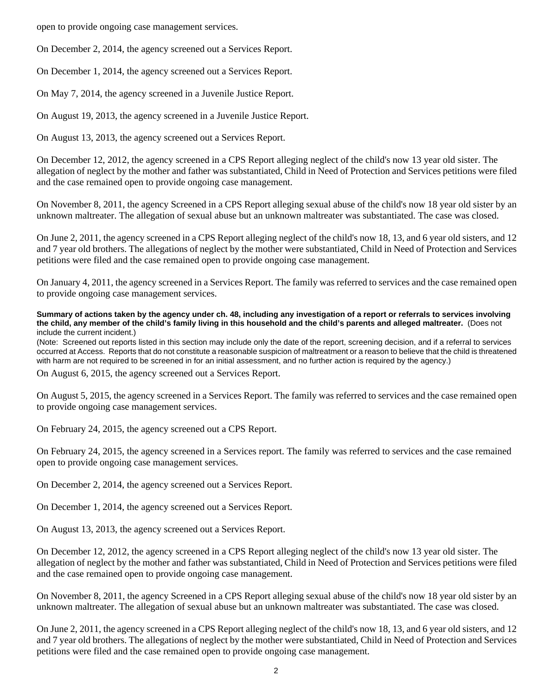open to provide ongoing case management services.

On December 2, 2014, the agency screened out a Services Report.

On December 1, 2014, the agency screened out a Services Report.

On May 7, 2014, the agency screened in a Juvenile Justice Report.

On August 19, 2013, the agency screened in a Juvenile Justice Report.

On August 13, 2013, the agency screened out a Services Report.

On December 12, 2012, the agency screened in a CPS Report alleging neglect of the child's now 13 year old sister. The allegation of neglect by the mother and father was substantiated, Child in Need of Protection and Services petitions were filed and the case remained open to provide ongoing case management.

On November 8, 2011, the agency Screened in a CPS Report alleging sexual abuse of the child's now 18 year old sister by an unknown maltreater. The allegation of sexual abuse but an unknown maltreater was substantiated. The case was closed.

On June 2, 2011, the agency screened in a CPS Report alleging neglect of the child's now 18, 13, and 6 year old sisters, and 12 and 7 year old brothers. The allegations of neglect by the mother were substantiated, Child in Need of Protection and Services petitions were filed and the case remained open to provide ongoing case management.

On January 4, 2011, the agency screened in a Services Report. The family was referred to services and the case remained open to provide ongoing case management services.

**Summary of actions taken by the agency under ch. 48, including any investigation of a report or referrals to services involving the child, any member of the child's family living in this household and the child's parents and alleged maltreater.** (Does not include the current incident.)

(Note: Screened out reports listed in this section may include only the date of the report, screening decision, and if a referral to services occurred at Access. Reports that do not constitute a reasonable suspicion of maltreatment or a reason to believe that the child is threatened with harm are not required to be screened in for an initial assessment, and no further action is required by the agency.)

On August 6, 2015, the agency screened out a Services Report.

On August 5, 2015, the agency screened in a Services Report. The family was referred to services and the case remained open to provide ongoing case management services.

On February 24, 2015, the agency screened out a CPS Report.

On February 24, 2015, the agency screened in a Services report. The family was referred to services and the case remained open to provide ongoing case management services.

On December 2, 2014, the agency screened out a Services Report.

On December 1, 2014, the agency screened out a Services Report.

On August 13, 2013, the agency screened out a Services Report.

On December 12, 2012, the agency screened in a CPS Report alleging neglect of the child's now 13 year old sister. The allegation of neglect by the mother and father was substantiated, Child in Need of Protection and Services petitions were filed and the case remained open to provide ongoing case management.

On November 8, 2011, the agency Screened in a CPS Report alleging sexual abuse of the child's now 18 year old sister by an unknown maltreater. The allegation of sexual abuse but an unknown maltreater was substantiated. The case was closed.

On June 2, 2011, the agency screened in a CPS Report alleging neglect of the child's now 18, 13, and 6 year old sisters, and 12 and 7 year old brothers. The allegations of neglect by the mother were substantiated, Child in Need of Protection and Services petitions were filed and the case remained open to provide ongoing case management.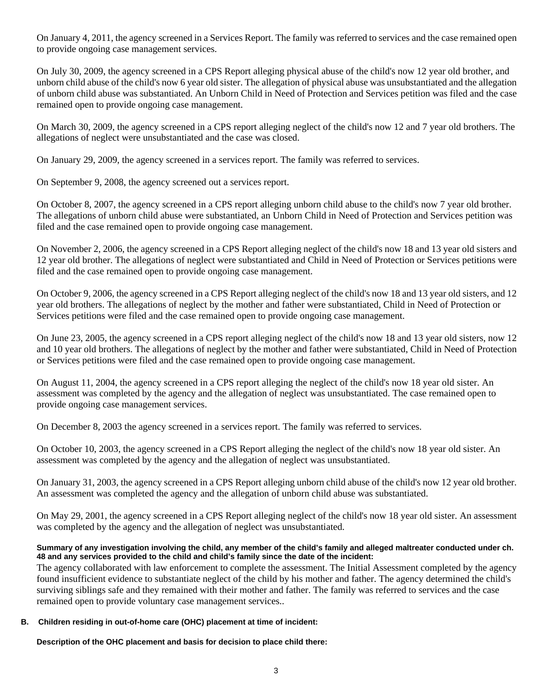On January 4, 2011, the agency screened in a Services Report. The family was referred to services and the case remained open to provide ongoing case management services.

On July 30, 2009, the agency screened in a CPS Report alleging physical abuse of the child's now 12 year old brother, and unborn child abuse of the child's now 6 year old sister. The allegation of physical abuse was unsubstantiated and the allegation of unborn child abuse was substantiated. An Unborn Child in Need of Protection and Services petition was filed and the case remained open to provide ongoing case management.

On March 30, 2009, the agency screened in a CPS report alleging neglect of the child's now 12 and 7 year old brothers. The allegations of neglect were unsubstantiated and the case was closed.

On January 29, 2009, the agency screened in a services report. The family was referred to services.

On September 9, 2008, the agency screened out a services report.

On October 8, 2007, the agency screened in a CPS report alleging unborn child abuse to the child's now 7 year old brother. The allegations of unborn child abuse were substantiated, an Unborn Child in Need of Protection and Services petition was filed and the case remained open to provide ongoing case management.

On November 2, 2006, the agency screened in a CPS Report alleging neglect of the child's now 18 and 13 year old sisters and 12 year old brother. The allegations of neglect were substantiated and Child in Need of Protection or Services petitions were filed and the case remained open to provide ongoing case management.

On October 9, 2006, the agency screened in a CPS Report alleging neglect of the child's now 18 and 13 year old sisters, and 12 year old brothers. The allegations of neglect by the mother and father were substantiated, Child in Need of Protection or Services petitions were filed and the case remained open to provide ongoing case management.

On June 23, 2005, the agency screened in a CPS report alleging neglect of the child's now 18 and 13 year old sisters, now 12 and 10 year old brothers. The allegations of neglect by the mother and father were substantiated, Child in Need of Protection or Services petitions were filed and the case remained open to provide ongoing case management.

On August 11, 2004, the agency screened in a CPS report alleging the neglect of the child's now 18 year old sister. An assessment was completed by the agency and the allegation of neglect was unsubstantiated. The case remained open to provide ongoing case management services.

On December 8, 2003 the agency screened in a services report. The family was referred to services.

On October 10, 2003, the agency screened in a CPS Report alleging the neglect of the child's now 18 year old sister. An assessment was completed by the agency and the allegation of neglect was unsubstantiated.

On January 31, 2003, the agency screened in a CPS Report alleging unborn child abuse of the child's now 12 year old brother. An assessment was completed the agency and the allegation of unborn child abuse was substantiated.

On May 29, 2001, the agency screened in a CPS Report alleging neglect of the child's now 18 year old sister. An assessment was completed by the agency and the allegation of neglect was unsubstantiated.

### **Summary of any investigation involving the child, any member of the child's family and alleged maltreater conducted under ch. 48 and any services provided to the child and child's family since the date of the incident:**

The agency collaborated with law enforcement to complete the assessment. The Initial Assessment completed by the agency found insufficient evidence to substantiate neglect of the child by his mother and father. The agency determined the child's surviving siblings safe and they remained with their mother and father. The family was referred to services and the case remained open to provide voluntary case management services..

# **B. Children residing in out-of-home care (OHC) placement at time of incident:**

**Description of the OHC placement and basis for decision to place child there:**